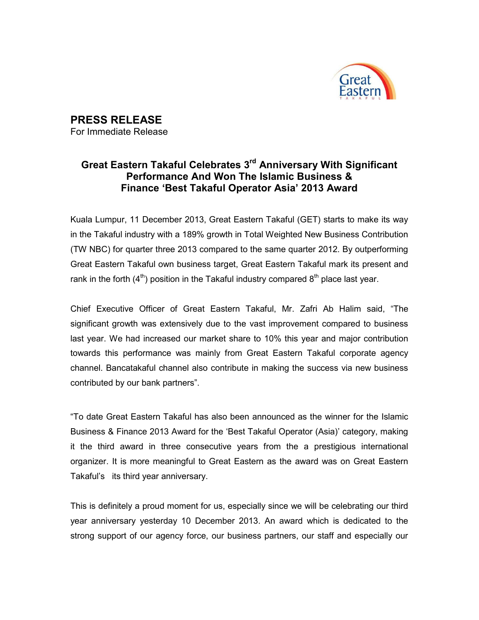

PRESS RELEASE For Immediate Release

## Great Eastern Takaful Celebrates 3<sup>rd</sup> Anniversary With Significant Performance And Won The Islamic Business & Finance 'Best Takaful Operator Asia' 2013 Award

Kuala Lumpur, 11 December 2013, Great Eastern Takaful (GET) starts to make its way in the Takaful industry with a 189% growth in Total Weighted New Business Contribution (TW NBC) for quarter three 2013 compared to the same quarter 2012. By outperforming Great Eastern Takaful own business target, Great Eastern Takaful mark its present and rank in the forth  $(4<sup>th</sup>)$  position in the Takaful industry compared  $8<sup>th</sup>$  place last year.

Chief Executive Officer of Great Eastern Takaful, Mr. Zafri Ab Halim said, "The significant growth was extensively due to the vast improvement compared to business last year. We had increased our market share to 10% this year and major contribution towards this performance was mainly from Great Eastern Takaful corporate agency channel. Bancatakaful channel also contribute in making the success via new business contributed by our bank partners".

"To date Great Eastern Takaful has also been announced as the winner for the Islamic Business & Finance 2013 Award for the 'Best Takaful Operator (Asia)' category, making it the third award in three consecutive years from the a prestigious international organizer. It is more meaningful to Great Eastern as the award was on Great Eastern Takaful's its third year anniversary.

This is definitely a proud moment for us, especially since we will be celebrating our third year anniversary yesterday 10 December 2013. An award which is dedicated to the strong support of our agency force, our business partners, our staff and especially our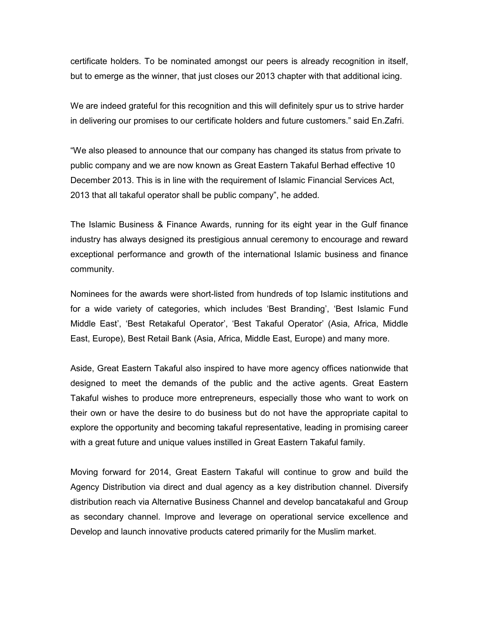certificate holders. To be nominated amongst our peers is already recognition in itself, but to emerge as the winner, that just closes our 2013 chapter with that additional icing.

We are indeed grateful for this recognition and this will definitely spur us to strive harder in delivering our promises to our certificate holders and future customers." said En.Zafri.

"We also pleased to announce that our company has changed its status from private to public company and we are now known as Great Eastern Takaful Berhad effective 10 December 2013. This is in line with the requirement of Islamic Financial Services Act, 2013 that all takaful operator shall be public company", he added.

The Islamic Business & Finance Awards, running for its eight year in the Gulf finance industry has always designed its prestigious annual ceremony to encourage and reward exceptional performance and growth of the international Islamic business and finance community.

Nominees for the awards were short-listed from hundreds of top Islamic institutions and for a wide variety of categories, which includes 'Best Branding', 'Best Islamic Fund Middle East', 'Best Retakaful Operator', 'Best Takaful Operator' (Asia, Africa, Middle East, Europe), Best Retail Bank (Asia, Africa, Middle East, Europe) and many more.

Aside, Great Eastern Takaful also inspired to have more agency offices nationwide that designed to meet the demands of the public and the active agents. Great Eastern Takaful wishes to produce more entrepreneurs, especially those who want to work on their own or have the desire to do business but do not have the appropriate capital to explore the opportunity and becoming takaful representative, leading in promising career with a great future and unique values instilled in Great Eastern Takaful family.

Moving forward for 2014, Great Eastern Takaful will continue to grow and build the Agency Distribution via direct and dual agency as a key distribution channel. Diversify distribution reach via Alternative Business Channel and develop bancatakaful and Group as secondary channel. Improve and leverage on operational service excellence and Develop and launch innovative products catered primarily for the Muslim market.